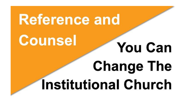# **Reference and Counsel You Can Change The Institutional Church**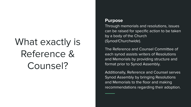# What exactly is Reference & Counsel?

#### **Purpose**

Through memorials and resolutions, issues can be raised for specific action to be taken by a body of the Church (Synod/Churchwide).

The Reference and Counsel Committee of each synod assists writers of Resolutions and Memorials by providing structure and format prior to Synod Assembly.

Additionally, Reference and Counsel serves Synod Assembly by bringing Resolutions and Memorials to the floor and making recommendations regarding their adoption.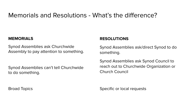# Memorials and Resolutions - What's the difference?

#### **MEMORIALS**

Synod Assemblies ask Churchwide Assembly to pay attention to something.

Synod Assemblies can't tell Churchwide to do something.

#### **RESOLUTIONS**

Synod Assemblies ask/direct Synod to do something.

Synod Assemblies ask Synod Council to reach out to Churchwide Organization or Church Council

Specific or local requests

Broad Topics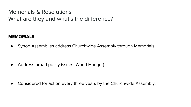Memorials & Resolutions What are they and what's the difference?

#### **MEMORIALS**

● Synod Assemblies address Churchwide Assembly through Memorials.

● Address broad policy issues (World Hunger)

• Considered for action every three years by the Churchwide Assembly.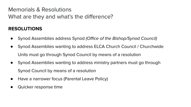Memorials & Resolutions What are they and what's the difference?

### **RESOLUTIONS**

- Synod Assemblies address Synod (Office of the Bishop/Synod Council)
- Synod Assemblies wanting to address ELCA Church Council / Churchwide Units must go through Synod Council by means of a resolution
- Synod Assemblies wanting to address ministry partners must go through Synod Council by means of a resolution
- Have a narrower focus (Parental Leave Policy)
- Quicker response time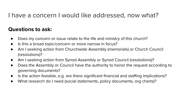# I have a concern I would like addressed, now what?

### **Questions to ask:**

- Does my concern or issue relate to the life and ministry of this church?
- Is this a broad topic/concern or more narrow in focus?
- Am I seeking action from Churchwide Assembly (memorials) or Church Council (resolutions)?
- Am I seeking action from Synod Assembly or Synod Council (resolutions)?
- Does the Assembly or Council have the authority to honor the request according to governing documents?
- Is the action feasible, e.g. are there significant financial and staffing implications?
- What research do I need (social statements, policy documents, org charts)?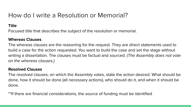# How do I write a Resolution or Memorial?

#### **Title**

Focused title that describes the subject of the resolution or memorial.

#### **Whereas Clauses**

The whereas clauses are the reasoning for the request. They are direct statements used to build a case for the action requested. You want to build the case and set the stage without writing a dissertation. The clauses must be factual and sourced. (The Assembly does not vote on the whereas clauses.)

#### **Resolved Clauses**

The resolved clauses, on which the Assembly votes, state the action desired. What should be done, how it should be done (all necessary actions), who should do it, and when it should be done.

\*\*If there are financial considerations, the source of funding must be identified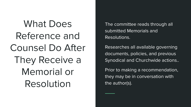What Does Reference and Counsel Do After They Receive a Memorial or Resolution

The committee reads through all submitted Memorials and Resolutions.

Researches all available governing documents, policies, and previous Synodical and Churchwide actions..

Prior to making a recommendation, they may be in conversation with the author(s).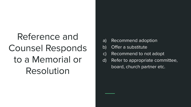# Reference and Counsel Responds to a Memorial or Resolution

- a) Recommend adoption
- b) Offer a substitute
- c) Recommend to not adopt
- d) Refer to appropriate committee, board, church partner etc.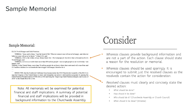### **Sample Memorial**

#### Sample Memorial:

ELCA World Hunger and Child Nutrition

WHEREAS, "Jesus said to them, 'I am the bread of life. Whoever comes to me will never be hungry, and whoever believes in me will never be thirsty"" (John 6:35); and

WHEREAS, 2016 is the within Always Being Made New: The Campaign for the ELCA that is focused on ELCA World Hunger; and

WHEREAS, we live in a world where more than 800 million people-one in eight people in our world today-are hungry; and

Whereas, in the United States, more than 50 million people do not know where their next meal will come from and 15.8 million children live in households that struggle with hunger; therefore be it

RESOLVED, that the Southwest California Synod memorialize the 2016 Churchwide Assembly of the ELCA to urge the Congress of the United States to renew and strengthen our nation's child nutrition programs by passing the Child Nutrition Reauthorization (CNR) bill in 2016 and bring the "Improving Child Nutrition Integrity and Access of 2016" to the Senate floor for a vote.

Note: All memorials will be examined for potential financial and staff implications. A summary of potential financial and staff implications will be provided in background information to the Churchwide Assembly.

# Consider

- Whereas clauses provide background information and are not a part of the action. Each clause should state a reason for the resolution or memorial
- Whereas clauses should be used sparingly. It is encouraged to submit just the resolved clauses as the resolveds contain the action for consideration
	- Resolved clauses must clearly and concisely state the desired action:
		- What should be done?
		- How should it be done?
		- Who should do it? (Churchwide Assembly or Church Council)
		- When should it be done? (timeline)  $\bullet$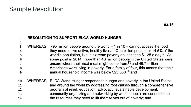## **Sample Resolution**

 $\overline{2}$ 

#### **RESOLUTION TO SUPPORT ELCA WORLD HUNGER**  $\mathbf{1}$

- $\overline{3}$ WHEREAS, 795 million people around the world  $-1$  in 10  $-$  cannot access the food they need to live active, healthy lives.<sup>[1]</sup> One billion people, or 14.5% of the 4 world's population, live in extreme poverty on less than \$1.25 a day.<sup>[2]</sup> At 5 some point in 2014, more than 48 million people in the United States were 6 unsure where their next meal might come from;<sup>[3]</sup> and 46.7 million  $\overline{7}$ Americans were living in poverty. For a family of four, this means that their 8 annual household income was below \$23.850:<sup>[4]</sup> and 9
- WHEREAS, ELCA World Hunger responds to hunger and poverty in the United States 10 and around the world by addressing root causes through a comprehensive 11 program of relief, education, advocacy, sustainable development, 12 community organizing and networking by which people are connected to 13 the resources they need to lift themselves out of poverty; and 14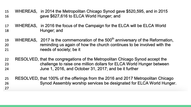- 15 WHEREAS, in 2014 the Metropolitan Chicago Synod gave \$520,595, and in 2015 gave \$627,616 to ELCA World Hunger: and 16
- WHEREAS, in 2016 the focus of the Campaign for the ELCA will be ELCA World 17 Hunger; and 18
- WHEREAS, 2017 is the commemoration of the 500<sup>th</sup> anniversary of the Reformation, 19 reminding us again of how the church continues to be involved with the 20 needs of society; be it 21
- RESOLVED, that the congregations of the Metropolitan Chicago Synod accept the 22 challenge to raise one million dollars for ELCA World Hunger between 23 June 1, 2016, and October 31, 2017; and be it further 24
- RESOLVED, that 100% of the offerings from the 2016 and 2017 Metropolitan Chicago 25 Synod Assembly worship services be designated for ELCA World Hunger. 26 27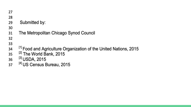| 27 |                                                                              |
|----|------------------------------------------------------------------------------|
| 28 |                                                                              |
| 29 | Submitted by:                                                                |
| 30 |                                                                              |
| 31 | The Metropolitan Chicago Synod Council                                       |
| 32 |                                                                              |
| 33 |                                                                              |
| 34 | <sup>[1]</sup> Food and Agriculture Organization of the United Nations, 2015 |
| 35 | <sup>[2]</sup> The World Bank, 2015                                          |
| 36 | [3] USDA, 2015                                                               |
| 37 | <sup>[4]</sup> US Census Bureau, 2015                                        |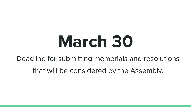# **March 30**

Deadline for submitting memorials and resolutions

that will be considered by the Assembly.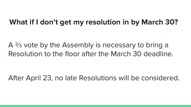# **What if I don't get my resolution in by March 30?**

A ⅔ vote by the Assembly is necessary to bring a Resolution to the floor after the March 30 deadline.

After April 23, no late Resolutions will be considered.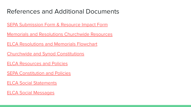# References and Additional Documents

[SEPA Submission Form & Resource Impact Form](https://ministrylink.org/wp-content/uploads/2022/02/2022-Reference-and-Counsel-Forms.pdf)

[Memorials and Resolutions Churchwide Resources](https://www.elca.org/About/Churchwide/Office-of-the-Secretary/Memorials-and-Resolutions)

[ELCA Resolutions and Memorials Flowchart](https://download.elca.org/ELCA%20Resource%20Repository/Memorials_and_Resolutions_chart.pdf)

[Churchwide and Synod Constitutions](https://www.elca.org/About/Churchwide/Office-of-the-Secretary/Constitutions)

[ELCA Resources and Policies](https://www.elca.org/Resources)

**[SEPA Constitution and Policies](https://ministrylink.org/resources-library/category/official-documents/)** 

[ELCA Social Statements](https://www.elca.org/Faith/Faith-and-Society/Social-Statements)

[ELCA Social Messages](https://www.elca.org/Faith/Faith-and-Society/Social-Messages)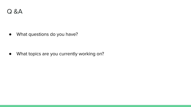● What questions do you have?

● What topics are you currently working on?